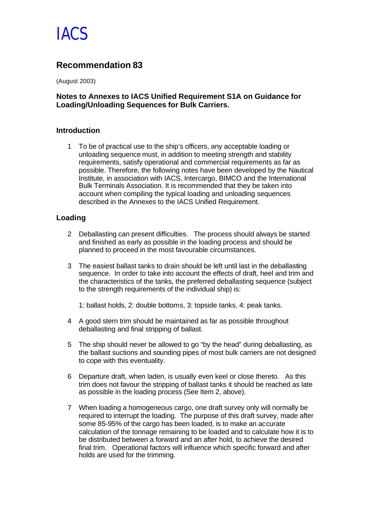

## **Recommendation 83**

(August 2003)

#### **Notes to Annexes to IACS Unified Requirement S1A on Guidance for Loading/Unloading Sequences for Bulk Carriers.**

#### **Introduction**

1 To be of practical use to the ship's officers, any acceptable loading or unloading sequence must, in addition to meeting strength and stability requirements, satisfy operational and commercial requirements as far as possible. Therefore, the following notes have been developed by the Nautical Institute, in association with IACS, Intercargo, BIMCO and the International Bulk Terminals Association. It is recommended that they be taken into account when compiling the typical loading and unloading sequences described in the Annexes to the IACS Unified Requirement.

#### **Loading**

- 2 Deballasting can present difficulties. The process should always be started and finished as early as possible in the loading process and should be planned to proceed in the most favourable circumstances.
- 3 The easiest ballast tanks to drain should be left until last in the deballasting sequence. In order to take into account the effects of draft, heel and trim and the characteristics of the tanks, the preferred deballasting sequence (subject to the strength requirements of the individual ship) is:

1: ballast holds, 2: double bottoms, 3: topside tanks, 4: peak tanks.

- 4 A good stern trim should be maintained as far as possible throughout deballasting and final stripping of ballast.
- 5 The ship should never be allowed to go "by the head" during deballasting, as the ballast suctions and sounding pipes of most bulk carriers are not designed to cope with this eventuality.
- 6 Departure draft, when laden, is usually even keel or close thereto. As this trim does not favour the stripping of ballast tanks it should be reached as late as possible in the loading process (See Item 2, above).
- 7 When loading a homogeneous cargo, one draft survey only will normally be required to interrupt the loading. The purpose of this draft survey, made after some 85-95% of the cargo has been loaded, is to make an accurate calculation of the tonnage remaining to be loaded and to calculate how it is to be distributed between a forward and an after hold, to achieve the desired final trim. Operational factors will influence which specific forward and after holds are used for the trimming.